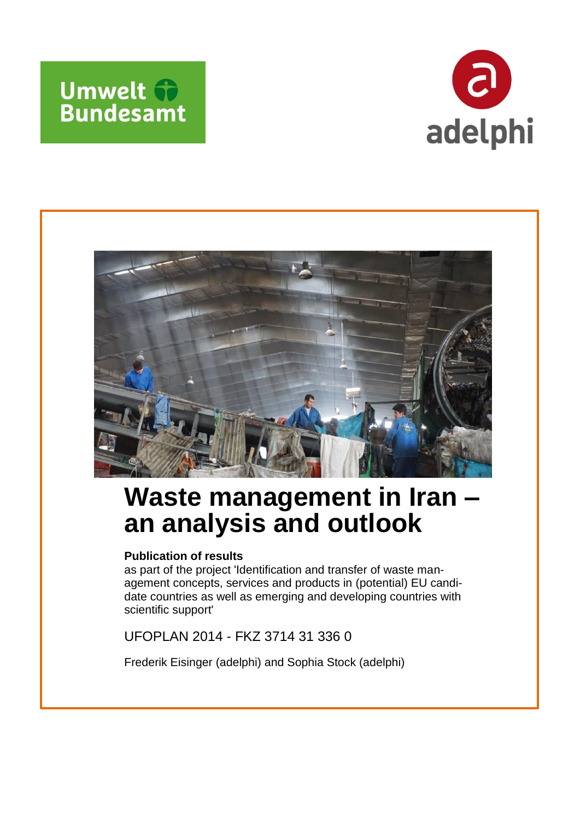





# **Waste management in Iran – an analysis and outlook**

### **Publication of results**

as part of the project 'Identification and transfer of waste management concepts, services and products in (potential) EU candidate countries as well as emerging and developing countries with scientific support'

UFOPLAN 2014 - FKZ 3714 31 336 0

Frederik Eisinger (adelphi) and Sophia Stock (adelphi)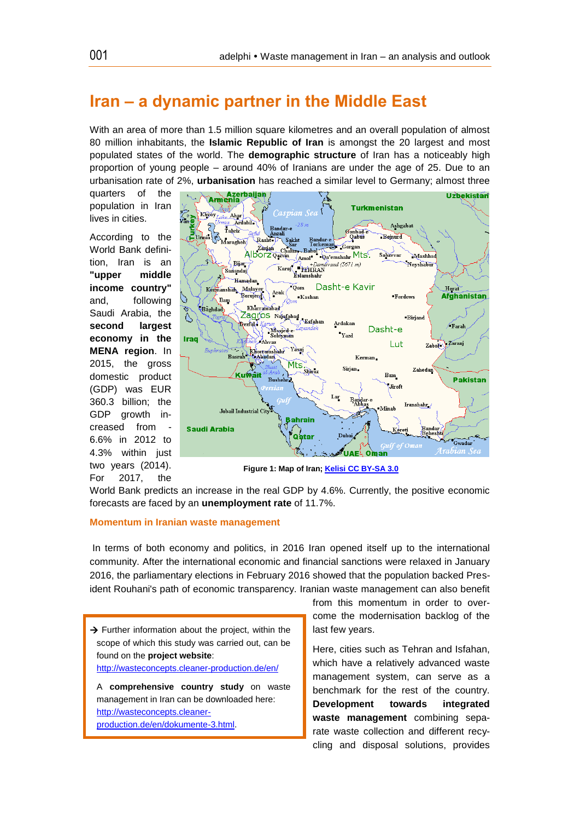### **Iran – a dynamic partner in the Middle East**

With an area of more than 1.5 million square kilometres and an overall population of almost 80 million inhabitants, the **Islamic Republic of Iran** is amongst the 20 largest and most populated states of the world. The **demographic structure** of Iran has a noticeably high proportion of young people – around 40% of Iranians are under the age of 25. Due to an urbanisation rate of 2%, **urbanisation** has reached a similar level to Germany; almost three

quarters of the population in Iran lives in cities.

According to the World Bank definition, Iran is an **"upper middle income country"** and, following Saudi Arabia, the **second largest economy in the MENA region**. In 2015, the gross domestic product (GDP) was EUR 360.3 billion; the GDP growth increased from 6.6% in 2012 to 4.3% within just two years (2014). For 2017, the



**Figure 1: Map of Iran[; Kelisi CC BY-SA 3.0](https://en.wikipedia.org/wiki/Geography_of_Iran#/media/File:IranOMC.png)**

World Bank predicts an increase in the real GDP by 4.6%. Currently, the positive economic forecasts are faced by an **unemployment rate** of 11.7%.

#### **Momentum in Iranian waste management**

In terms of both economy and politics, in 2016 Iran opened itself up to the international community. After the international economic and financial sanctions were relaxed in January 2016, the parliamentary elections in February 2016 showed that the population backed President Rouhani's path of economic transparency. Iranian waste management can also benefit

 $\rightarrow$  Further information about the project, within the scope of which this study was carried out, can be found on the **project website**: <http://wasteconcepts.cleaner-production.de/en/> A **comprehensive country study** on waste management in Iran can be downloaded here: [http://wasteconcepts.cleaner-](http://wasteconcepts.cleaner-production.de/en/dokumente-3.html)

[production.de/en/dokumente-3.html.](http://wasteconcepts.cleaner-production.de/en/dokumente-3.html)

from this momentum in order to overcome the modernisation backlog of the last few years.

Here, cities such as Tehran and Isfahan, which have a relatively advanced waste management system, can serve as a benchmark for the rest of the country. **Development towards integrated waste management** combining separate waste collection and different recycling and disposal solutions, provides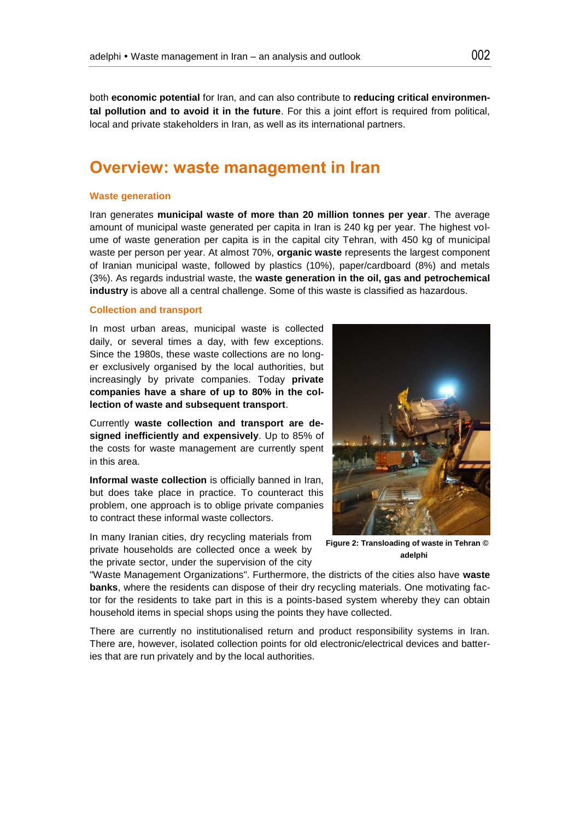both **economic potential** for Iran, and can also contribute to **reducing critical environmental pollution and to avoid it in the future**. For this a joint effort is required from political, local and private stakeholders in Iran, as well as its international partners.

# **Overview: waste management in Iran**

#### **Waste generation**

Iran generates **municipal waste of more than 20 million tonnes per year**. The average amount of municipal waste generated per capita in Iran is 240 kg per year. The highest volume of waste generation per capita is in the capital city Tehran, with 450 kg of municipal waste per person per year. At almost 70%, **organic waste** represents the largest component of Iranian municipal waste, followed by plastics (10%), paper/cardboard (8%) and metals (3%). As regards industrial waste, the **waste generation in the oil, gas and petrochemical industry** is above all a central challenge. Some of this waste is classified as hazardous.

#### **Collection and transport**

In most urban areas, municipal waste is collected daily, or several times a day, with few exceptions. Since the 1980s, these waste collections are no longer exclusively organised by the local authorities, but increasingly by private companies. Today **private companies have a share of up to 80% in the collection of waste and subsequent transport**.

Currently **waste collection and transport are designed inefficiently and expensively**. Up to 85% of the costs for waste management are currently spent in this area.

**Informal waste collection** is officially banned in Iran, but does take place in practice. To counteract this problem, one approach is to oblige private companies to contract these informal waste collectors.

In many Iranian cities, dry recycling materials from private households are collected once a week by the private sector, under the supervision of the city



**Figure 2: Transloading of waste in Tehran © adelphi**

"Waste Management Organizations". Furthermore, the districts of the cities also have **waste banks**, where the residents can dispose of their dry recycling materials. One motivating factor for the residents to take part in this is a points-based system whereby they can obtain household items in special shops using the points they have collected.

There are currently no institutionalised return and product responsibility systems in Iran. There are, however, isolated collection points for old electronic/electrical devices and batteries that are run privately and by the local authorities.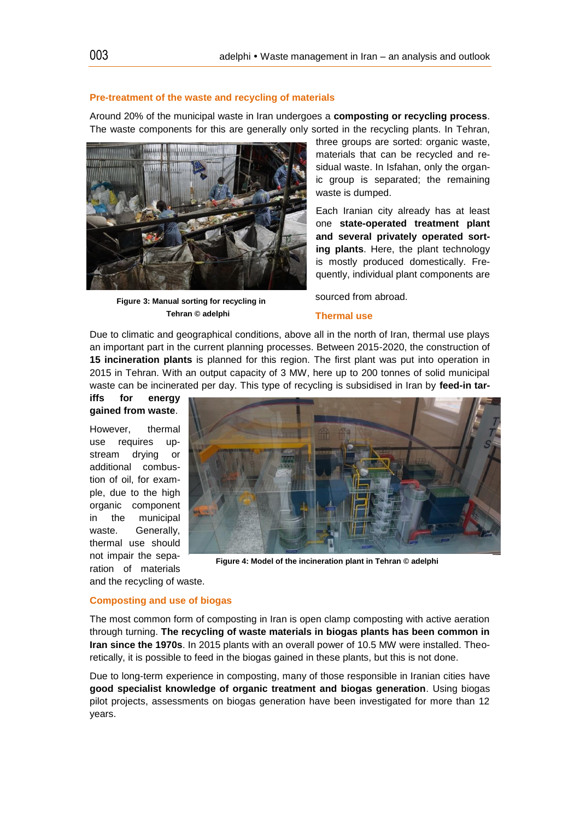#### **Pre-treatment of the waste and recycling of materials**

Around 20% of the municipal waste in Iran undergoes a **composting or recycling process**. The waste components for this are generally only sorted in the recycling plants. In Tehran,



**Figure 3: Manual sorting for recycling in Tehran © adelphi**

three groups are sorted: organic waste, materials that can be recycled and residual waste. In Isfahan, only the organic group is separated; the remaining waste is dumped.

Each Iranian city already has at least one **state-operated treatment plant and several privately operated sorting plants**. Here, the plant technology is mostly produced domestically. Frequently, individual plant components are

sourced from abroad.

#### **Thermal use**

Due to climatic and geographical conditions, above all in the north of Iran, thermal use plays an important part in the current planning processes. Between 2015-2020, the construction of **15 incineration plants** is planned for this region. The first plant was put into operation in 2015 in Tehran. With an output capacity of 3 MW, here up to 200 tonnes of solid municipal waste can be incinerated per day. This type of recycling is subsidised in Iran by **feed-in tar-**

#### **iffs for energy gained from waste**.

However, thermal use requires upstream drying or additional combustion of oil, for example, due to the high organic component in the municipal waste. Generally, thermal use should not impair the separation of materials



**Figure 4: Model of the incineration plant in Tehran © adelphi**

#### **Composting and use of biogas**

and the recycling of waste.

The most common form of composting in Iran is open clamp composting with active aeration through turning. **The recycling of waste materials in biogas plants has been common in Iran since the 1970s**. In 2015 plants with an overall power of 10.5 MW were installed. Theoretically, it is possible to feed in the biogas gained in these plants, but this is not done.

Due to long-term experience in composting, many of those responsible in Iranian cities have **good specialist knowledge of organic treatment and biogas generation**. Using biogas pilot projects, assessments on biogas generation have been investigated for more than 12 years.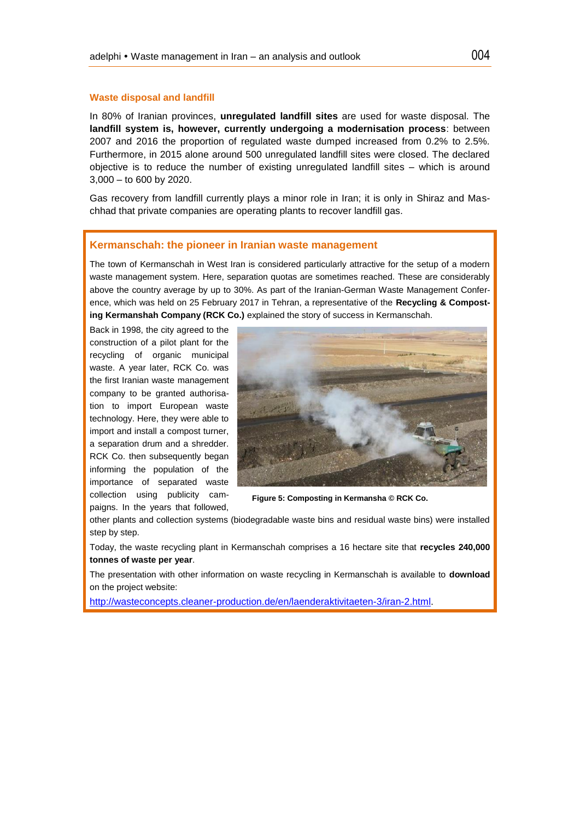#### **Waste disposal and landfill**

In 80% of Iranian provinces, **unregulated landfill sites** are used for waste disposal. The **landfill system is, however, currently undergoing a modernisation process**: between 2007 and 2016 the proportion of regulated waste dumped increased from 0.2% to 2.5%. Furthermore, in 2015 alone around 500 unregulated landfill sites were closed. The declared objective is to reduce the number of existing unregulated landfill sites – which is around 3,000 – to 600 by 2020.

Gas recovery from landfill currently plays a minor role in Iran; it is only in Shiraz and Maschhad that private companies are operating plants to recover landfill gas.

#### **Kermanschah: the pioneer in Iranian waste management**

The town of Kermanschah in West Iran is considered particularly attractive for the setup of a modern waste management system. Here, separation quotas are sometimes reached. These are considerably above the country average by up to 30%. As part of the Iranian-German Waste Management Conference, which was held on 25 February 2017 in Tehran, a representative of the **Recycling & Composting Kermanshah Company (RCK Co.)** explained the story of success in Kermanschah.

Back in 1998, the city agreed to the construction of a pilot plant for the recycling of organic municipal waste. A year later, RCK Co. was the first Iranian waste management company to be granted authorisation to import European waste technology. Here, they were able to import and install a compost turner, a separation drum and a shredder. RCK Co. then subsequently began informing the population of the importance of separated waste collection using publicity campaigns. In the years that followed,



**Figure 5: Composting in Kermansha © RCK Co.**

other plants and collection systems (biodegradable waste bins and residual waste bins) were installed step by step.

Today, the waste recycling plant in Kermanschah comprises a 16 hectare site that **recycles 240,000 tonnes of waste per year**.

The presentation with other information on waste recycling in Kermanschah is available to **download** on the project website:

[http://wasteconcepts.cleaner-production.de/en/laenderaktivitaeten-3/iran-2.html.](http://wasteconcepts.cleaner-production.de/en/laenderaktivitaeten-3/iran-2.html)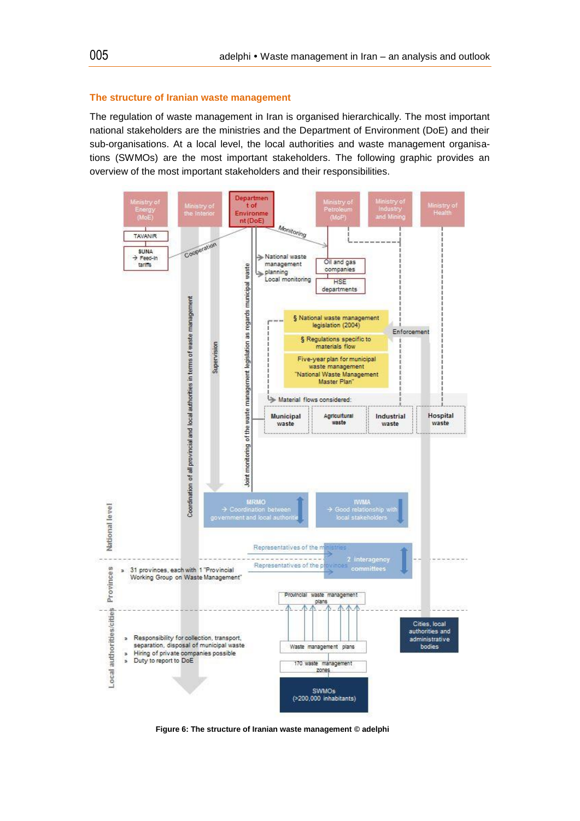#### **The structure of Iranian waste management**

The regulation of waste management in Iran is organised hierarchically. The most important national stakeholders are the ministries and the Department of Environment (DoE) and their sub-organisations. At a local level, the local authorities and waste management organisations (SWMOs) are the most important stakeholders. The following graphic provides an overview of the most important stakeholders and their responsibilities.



**Figure 6: The structure of Iranian waste management © adelphi**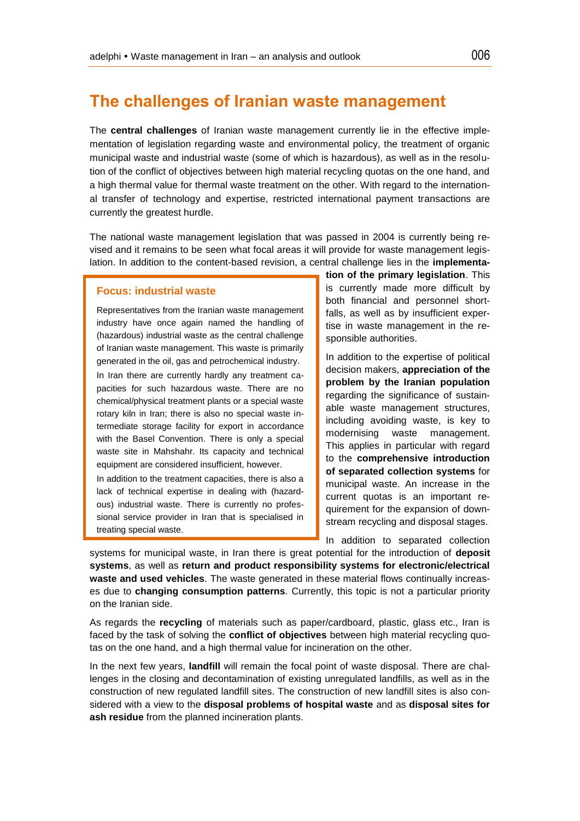# **The challenges of Iranian waste management**

The **central challenges** of Iranian waste management currently lie in the effective implementation of legislation regarding waste and environmental policy, the treatment of organic municipal waste and industrial waste (some of which is hazardous), as well as in the resolution of the conflict of objectives between high material recycling quotas on the one hand, and a high thermal value for thermal waste treatment on the other. With regard to the international transfer of technology and expertise, restricted international payment transactions are currently the greatest hurdle.

The national waste management legislation that was passed in 2004 is currently being revised and it remains to be seen what focal areas it will provide for waste management legislation. In addition to the content-based revision, a central challenge lies in the **implementa-**

#### **Focus: industrial waste**

Representatives from the Iranian waste management industry have once again named the handling of (hazardous) industrial waste as the central challenge of Iranian waste management. This waste is primarily generated in the oil, gas and petrochemical industry.

In Iran there are currently hardly any treatment capacities for such hazardous waste. There are no chemical/physical treatment plants or a special waste rotary kiln in Iran; there is also no special waste intermediate storage facility for export in accordance with the Basel Convention. There is only a special waste site in Mahshahr. Its capacity and technical equipment are considered insufficient, however.

In addition to the treatment capacities, there is also a lack of technical expertise in dealing with (hazardous) industrial waste. There is currently no professional service provider in Iran that is specialised in treating special waste.

**tion of the primary legislation**. This is currently made more difficult by both financial and personnel shortfalls, as well as by insufficient expertise in waste management in the responsible authorities.

In addition to the expertise of political decision makers, **appreciation of the problem by the Iranian population** regarding the significance of sustainable waste management structures, including avoiding waste, is key to modernising waste management. This applies in particular with regard to the **comprehensive introduction of separated collection systems** for municipal waste. An increase in the current quotas is an important requirement for the expansion of downstream recycling and disposal stages.

In addition to separated collection

systems for municipal waste, in Iran there is great potential for the introduction of **deposit systems**, as well as **return and product responsibility systems for electronic/electrical waste and used vehicles**. The waste generated in these material flows continually increases due to **changing consumption patterns**. Currently, this topic is not a particular priority on the Iranian side.

As regards the **recycling** of materials such as paper/cardboard, plastic, glass etc., Iran is faced by the task of solving the **conflict of objectives** between high material recycling quotas on the one hand, and a high thermal value for incineration on the other.

In the next few years, **landfill** will remain the focal point of waste disposal. There are challenges in the closing and decontamination of existing unregulated landfills, as well as in the construction of new regulated landfill sites. The construction of new landfill sites is also considered with a view to the **disposal problems of hospital waste** and as **disposal sites for ash residue** from the planned incineration plants.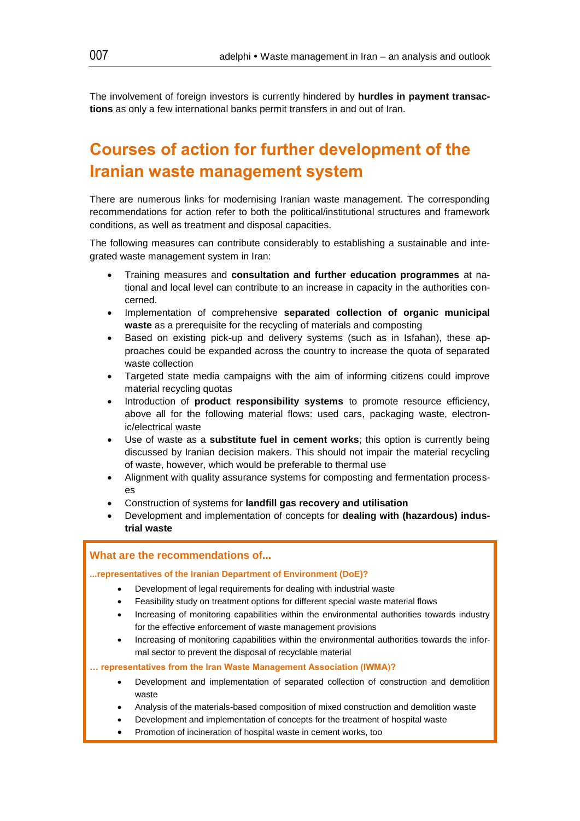The involvement of foreign investors is currently hindered by **hurdles in payment transactions** as only a few international banks permit transfers in and out of Iran.

# **Courses of action for further development of the Iranian waste management system**

There are numerous links for modernising Iranian waste management. The corresponding recommendations for action refer to both the political/institutional structures and framework conditions, as well as treatment and disposal capacities.

The following measures can contribute considerably to establishing a sustainable and integrated waste management system in Iran:

- Training measures and **consultation and further education programmes** at national and local level can contribute to an increase in capacity in the authorities concerned.
- Implementation of comprehensive **separated collection of organic municipal waste** as a prerequisite for the recycling of materials and composting
- Based on existing pick-up and delivery systems (such as in Isfahan), these approaches could be expanded across the country to increase the quota of separated waste collection
- Targeted state media campaigns with the aim of informing citizens could improve material recycling quotas
- Introduction of **product responsibility systems** to promote resource efficiency, above all for the following material flows: used cars, packaging waste, electronic/electrical waste
- Use of waste as a **substitute fuel in cement works**; this option is currently being discussed by Iranian decision makers. This should not impair the material recycling of waste, however, which would be preferable to thermal use
- Alignment with quality assurance systems for composting and fermentation processes
- Construction of systems for **landfill gas recovery and utilisation**
- Development and implementation of concepts for **dealing with (hazardous) industrial waste**

#### **What are the recommendations of...**

#### **...representatives of the Iranian Department of Environment (DoE)?**

- Development of legal requirements for dealing with industrial waste
- Feasibility study on treatment options for different special waste material flows
- Increasing of monitoring capabilities within the environmental authorities towards industry for the effective enforcement of waste management provisions
- Increasing of monitoring capabilities within the environmental authorities towards the informal sector to prevent the disposal of recyclable material

**… representatives from the Iran Waste Management Association (IWMA)?**

- Development and implementation of separated collection of construction and demolition waste
- Analysis of the materials-based composition of mixed construction and demolition waste
- Development and implementation of concepts for the treatment of hospital waste
- Promotion of incineration of hospital waste in cement works, too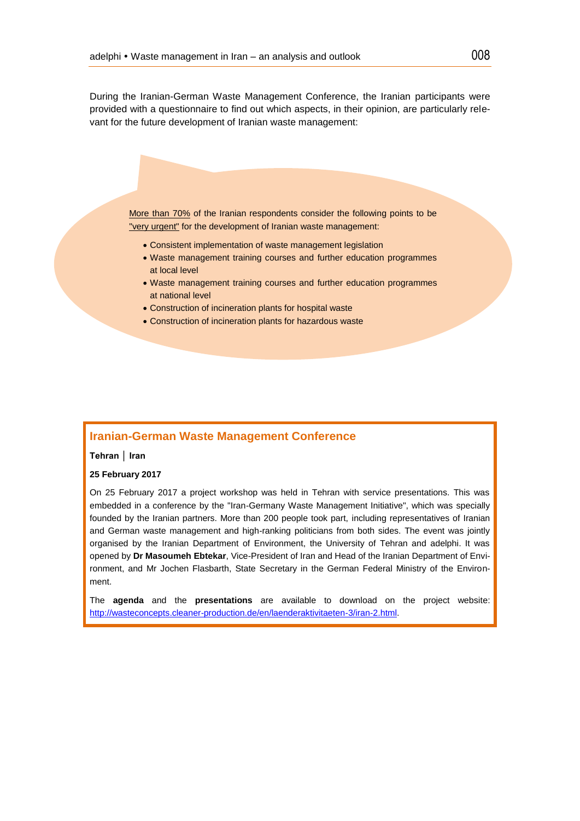During the Iranian-German Waste Management Conference, the Iranian participants were provided with a questionnaire to find out which aspects, in their opinion, are particularly relevant for the future development of Iranian waste management:

More than 70% of the Iranian respondents consider the following points to be "very urgent" for the development of Iranian waste management:

- Consistent implementation of waste management legislation
- Waste management training courses and further education programmes at local level
- Waste management training courses and further education programmes at national level
- Construction of incineration plants for hospital waste
- Construction of incineration plants for hazardous waste

#### **Iranian-German Waste Management Conference**

#### **Tehran │ Iran**

#### **25 February 2017**

On 25 February 2017 a project workshop was held in Tehran with service presentations. This was embedded in a conference by the "Iran-Germany Waste Management Initiative", which was specially founded by the Iranian partners. More than 200 people took part, including representatives of Iranian and German waste management and high-ranking politicians from both sides. The event was jointly organised by the Iranian Department of Environment, the University of Tehran and adelphi. It was opened by **Dr Masoumeh Ebtekar**, Vice-President of Iran and Head of the Iranian Department of Environment, and Mr Jochen Flasbarth, State Secretary in the German Federal Ministry of the Environment.

The **agenda** and the **presentations** are available to download on the project website: [http://wasteconcepts.cleaner-production.de/en/laenderaktivitaeten-3/iran-2.html.](http://wasteconcepts.cleaner-production.de/en/laenderaktivitaeten-3/iran-2.html)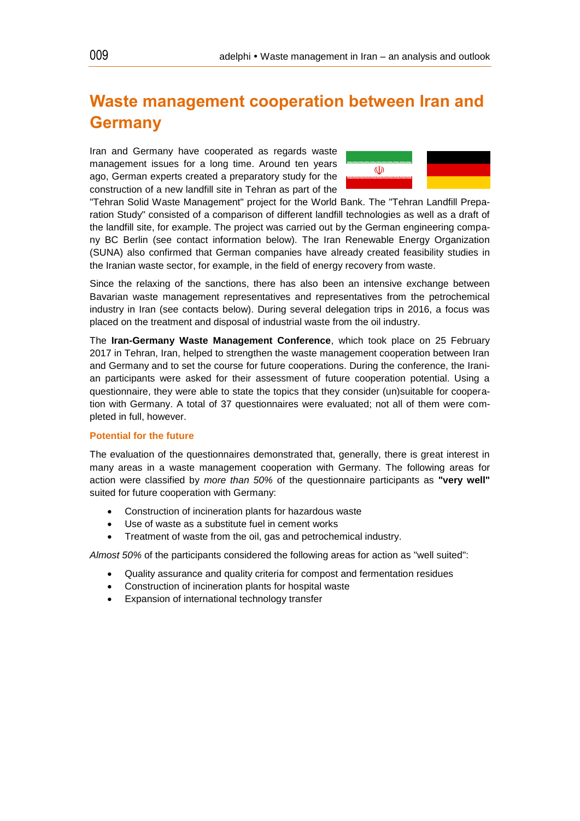# **Waste management cooperation between Iran and Germany**

Iran and Germany have cooperated as regards waste management issues for a long time. Around ten years ago, German experts created a preparatory study for the construction of a new landfill site in Tehran as part of the



"Tehran Solid Waste Management" project for the World Bank. The "Tehran Landfill Preparation Study" consisted of a comparison of different landfill technologies as well as a draft of the landfill site, for example. The project was carried out by the German engineering company BC Berlin (see contact information below). The Iran Renewable Energy Organization (SUNA) also confirmed that German companies have already created feasibility studies in the Iranian waste sector, for example, in the field of energy recovery from waste.

Since the relaxing of the sanctions, there has also been an intensive exchange between Bavarian waste management representatives and representatives from the petrochemical industry in Iran (see contacts below). During several delegation trips in 2016, a focus was placed on the treatment and disposal of industrial waste from the oil industry.

The **Iran-Germany Waste Management Conference**, which took place on 25 February 2017 in Tehran, Iran, helped to strengthen the waste management cooperation between Iran and Germany and to set the course for future cooperations. During the conference, the Iranian participants were asked for their assessment of future cooperation potential. Using a questionnaire, they were able to state the topics that they consider (un)suitable for cooperation with Germany. A total of 37 questionnaires were evaluated; not all of them were completed in full, however.

#### **Potential for the future**

The evaluation of the questionnaires demonstrated that, generally, there is great interest in many areas in a waste management cooperation with Germany. The following areas for action were classified by *more than 50%* of the questionnaire participants as **"very well"** suited for future cooperation with Germany:

- Construction of incineration plants for hazardous waste
- Use of waste as a substitute fuel in cement works
- Treatment of waste from the oil, gas and petrochemical industry.

*Almost 50%* of the participants considered the following areas for action as "well suited":

- Quality assurance and quality criteria for compost and fermentation residues
- Construction of incineration plants for hospital waste
- Expansion of international technology transfer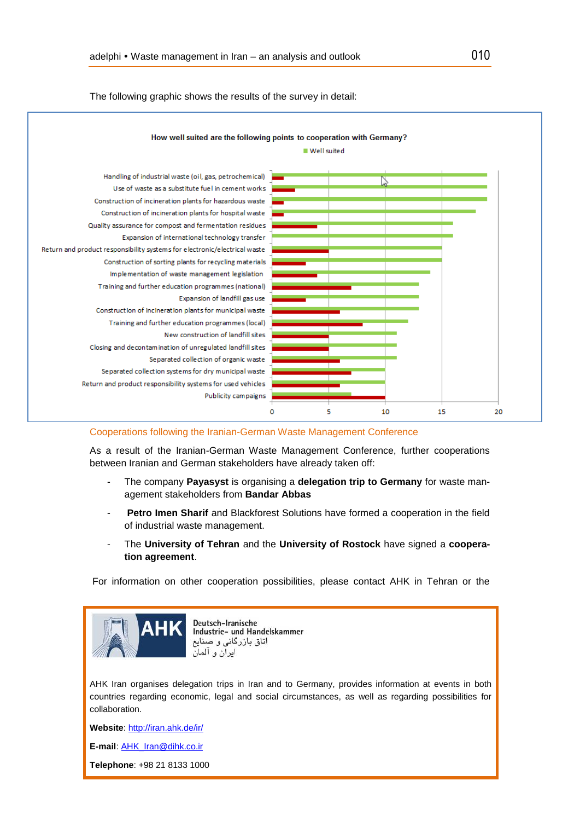

The following graphic shows the results of the survey in detail:

#### Cooperations following the Iranian-German Waste Management Conference

As a result of the Iranian-German Waste Management Conference, further cooperations between Iranian and German stakeholders have already taken off:

- The company **Payasyst** is organising a **delegation trip to Germany** for waste management stakeholders from **Bandar Abbas**
- Petro Imen Sharif and Blackforest Solutions have formed a cooperation in the field of industrial waste management.
- The University of Tehran and the University of Rostock have signed a coopera**tion agreement**.

For information on other cooperation possibilities, please contact AHK in Tehran or the



Deutsch-Iranische Industrie- und Handelskammer اتاق بازرگانی و صنایع ايران و ألمان

AHK Iran organises delegation trips in Iran and to Germany, provides information at events in both countries regarding economic, legal and social circumstances, as well as regarding possibilities for collaboration.

**Website**[: http://iran.ahk.de/ir/](http://iran.ahk.de/ir/)

**E-mail**: [AHK\\_Iran@dihk.co.ir](mailto:AHK_Iran@dihk.co.ir)

**Telephone**: +98 21 8133 1000